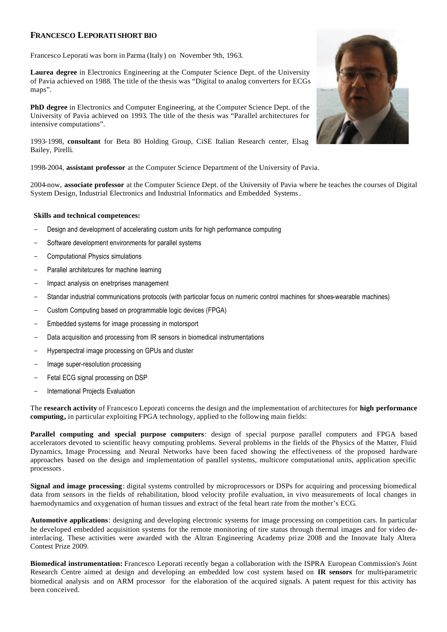## **FRANCESCO LEPORATI SHORT BIO**

Francesco Leporati was born in Parma (Italy) on November 9th, 1963.

**Laurea degree** in Electronics Engineering at the Computer Science Dept. of the University of Pavia achieved on 1988. The title of the thesis was "Digital to analog converters for ECGs maps".

**PhD degree** in Electronics and Computer Engineering, at the Computer Science Dept. of the University of Pavia achieved on 1993. The title of the thesis was "Parallel architectures for intensive computations".

1993-1998, **consultant** for Beta 80 Holding Group, CiSE Italian Research center, Elsag Bailey, Pirelli.

1998-2004, **assistant professor** at the Computer Science Department of the University of Pavia.

2004-now, **associate professor** at the Computer Science Dept. of the University of Pavia where he teaches the courses of Digital System Design, Industrial Electronics and Industrial Informatics and Embedded Systems.

## **Skills and technical competences:**

- Design and development of accelerating custom units for high performance computing
- Software development environments for parallel systems
- Computational Physics simulations
- Parallel architetcures for machine learning
- Impact analysis on enetrprises management
- Standar industrial communications protocols (with particolar focus on numeric control machines for shoes-wearable machines)
- Custom Computing based on programmable logic devices (FPGA)
- Embedded systems for image processing in motorsport
- Data acquisition and processing from IR sensors in biomedical instrumentations
- Hyperspectral image processing on GPUs and cluster
- Image super-resolution processing
- Fetal ECG signal processing on DSP
- International Projects Evaluation

The **research activity** of Francesco Leporati concerns the design and the implementation of architectures for **high performance computing,** in particular exploiting FPGA technology, applied to the following main fields:

**Parallel computing and special purpose computers**: design of special purpose parallel computers and FPGA based accelerators devoted to scientific heavy computing problems. Several problems in the fields of the Physics of the Matter, Fluid Dynamics, Image Processing and Neural Networks have been faced showing the effectiveness of the proposed hardware approaches based on the design and implementation of parallel systems, multicore computational units, application specific processors.

**Signal and image processing**: digital systems controlled by microprocessors or DSPs for acquiring and processing biomedical data from sensors in the fields of rehabilitation, blood velocity profile evaluation, in vivo measurements of local changes in haemodynamics and oxygenation of human tissues and extract of the fetal heart rate from the mother's ECG.

**Automotive applications**: designing and developing electronic systems for image processing on competition cars. In particular he developed embedded acquisition systems for the remote monitoring of tire status through thermal images and for video deinterlacing. These activities were awarded with the Altran Engineering Academy prize 2008 and the Innovate Italy Altera Contest Prize 2009.

**Biomedical instrumentation:** Francesco Leporati recently began a collaboration with the ISPRA European Commission's Joint Research Centre aimed at design and developing an embedded low cost system based on **IR sensors** for multi-parametric biomedical analysis and on ARM processor for the elaboration of the acquired signals. A patent request for this activity has been conceived.

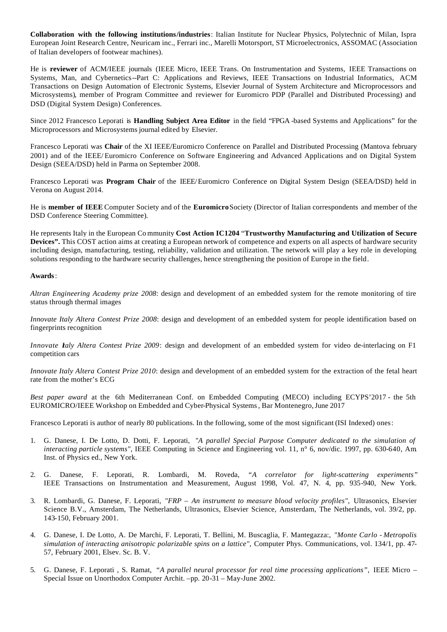**Collaboration with the following institutions/industries**: Italian Institute for Nuclear Physics, Polytechnic of Milan, Ispra European Joint Research Centre, Neuricam inc., Ferrari inc., Marelli Motorsport, ST Microelectronics, ASSOMAC (Association of Italian developers of footwear machines).

He is **reviewer** of ACM/IEEE journals (IEEE Micro, IEEE Trans. On Instrumentation and Systems, IEEE Transactions on Systems, Man, and Cybernetics--Part C: Applications and Reviews, IEEE Transactions on Industrial Informatics, ACM Transactions on Design Automation of Electronic Systems, Elsevier Journal of System Architecture and Microprocessors and Microsystems), member of Program Committee and reviewer for Euromicro PDP (Parallel and Distributed Processing) and DSD (Digital System Design) Conferences.

Since 2012 Francesco Leporati is **Handling Subject Area Editor** in the field "FPGA -based Systems and Applications" for the Microprocessors and Microsystems journal edited by Elsevier.

Francesco Leporati was **Chair** of the XI IEEE/Euromicro Conference on Parallel and Distributed Processing (Mantova february 2001) and of the IEEE/ Euromicro Conference on Software Engineering and Advanced Applications and on Digital System Design (SEEA/DSD) held in Parma on September 2008.

Francesco Leporati was **Program Chair** of the IEEE/Euromicro Conference on Digital System Design (SEEA/DSD) held in Verona on August 2014.

He is **member of IEEE** Computer Society and of the **Euromicro** Society (Director of Italian correspondents and member of the DSD Conference Steering Committee).

He represents Italy in the European Co mmunity **Cost Action IC1204** "**Trustworthy Manufacturing and Utilization of Secure Devices".** This COST action aims at creating a European network of competence and experts on all aspects of hardware security including design, manufacturing, testing, reliability, validation and utilization. The network will play a key role in developing solutions responding to the hardware security challenges, hence strengthening the position of Europe in the field.

## **Awards**:

*Altran Engineering Academy prize 2008*: design and development of an embedded system for the remote monitoring of tire status through thermal images

*Innovate Italy Altera Contest Prize 2008*: design and development of an embedded system for people identification based on fingerprints recognition

*Innovate Italy Altera Contest Prize 2009*: design and development of an embedded system for video de-interlacing on F1 competition cars

*Innovate Italy Altera Contest Prize 2010*: design and development of an embedded system for the extraction of the fetal heart rate from the mother's ECG

*Best paper award* at the 6th Mediterranean Conf. on Embedded Computing (MECO) including ECYPS'2017 - the 5th EUROMICRO/IEEE Workshop on Embedded and Cyber-Physical Systems, Bar Montenegro, June 2017

Francesco Leporati is author of nearly 80 publications. In the following, some of the most significant (ISI Indexed) ones:

- 1. G. Danese, I. De Lotto, D. Dotti, F. Leporati, *"A parallel Special Purpose Computer dedicated to the simulation of interacting particle systems", IEEE Computing in Science and Engineering vol.* 11, n° 6, nov/dic. 1997, pp. 630-640, Am. Inst. of Physics ed., New York.
- 2. G. Danese, F. Leporati, R. Lombardi, M. Roveda, *"A correlator for light-scattering experiments"* IEEE Transactions on Instrumentation and Measurement, August 1998, Vol. 47, N. 4, pp. 935-940, New York.
- 3. R. Lombardi, G. Danese, F. Leporati, *"FRP An instrument to measure blood velocity profiles",* Ultrasonics, Elsevier Science B.V., Amsterdam, The Netherlands, Ultrasonics, Elsevier Science, Amsterdam, The Netherlands, vol. 39/2, pp. 143-150, February 2001.
- 4. G. Danese, I. De Lotto, A. De Marchi, F. Leporati, T. Bellini, M. Buscaglia, F. Mantegazza:, *"Monte Carlo Metropolis simulation of interacting anisotropic polarizable spins on a lattice",* Computer Phys. Communications, vol. 134/1, pp. 47- 57, February 2001, Elsev. Sc. B. V.
- 5. G. Danese, F. Leporati, S. Ramat, "A parallel neural processor for real time processing applications", IEEE Micro Special Issue on Unorthodox Computer Archit. –pp. 20-31 – May-June 2002.